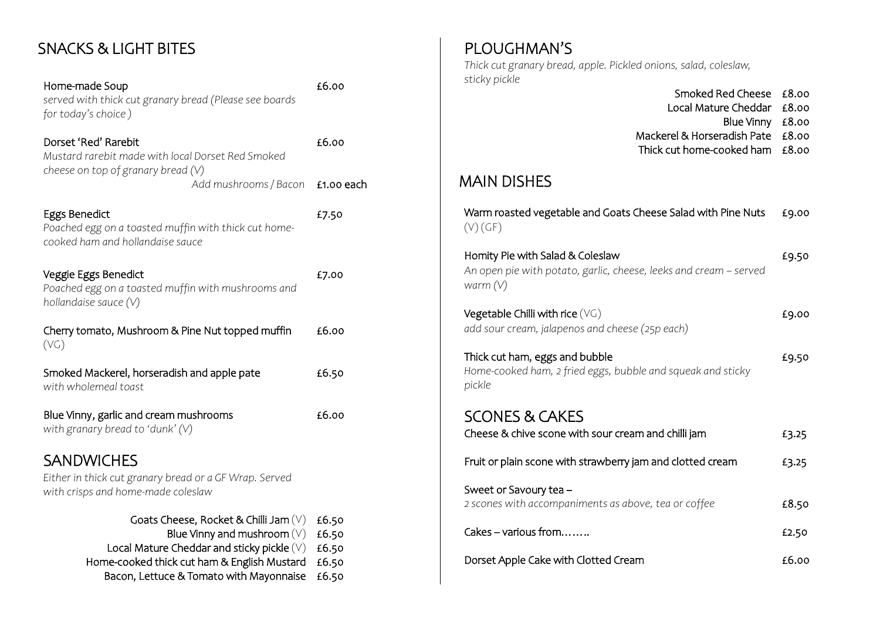## SNACKS & LIGHT BITES

Home-made Soup *served with thick cut granary bread (Please see boards for today's choice )* £6.00

Dorset 'Red' Rarebit *Mustard rarebit made with local Dorset Red Smoked cheese on top of granary bread (V)* £6.00 *Add mushrooms / Bacon* £1.00 each

£7.50

Eggs Benedict *Poached egg on a toasted muffin with thick cut homecooked ham and hollandaise sauce* 

| Veggie Eggs Benedict<br>Poached egg on a toasted muffin with mushrooms and<br>hollandaise sauce $(V)$             | £7.00 |
|-------------------------------------------------------------------------------------------------------------------|-------|
| Cherry tomato, Mushroom & Pine Nut topped muffin<br>(VG)                                                          | £6.00 |
| Smoked Mackerel, horseradish and apple pate<br>with wholemeal toast                                               | £6.50 |
| Blue Vinny, garlic and cream mushrooms<br>with granary bread to 'dunk' $(V)$                                      | £6.00 |
| <b>SANDWICHES</b><br>Either in thick cut granary bread or a GF Wrap. Served<br>with crisps and home-made coleslaw |       |

| Blue Vinny and mushroom $(V)$ £6.50<br>Local Mature Cheddar and sticky pickle $(V)$ £6.50<br>Home-cooked thick cut ham & English Mustard £6.50 | Goats Cheese, Rocket & Chilli Jam $(V)$ £6.50 |  |
|------------------------------------------------------------------------------------------------------------------------------------------------|-----------------------------------------------|--|
|                                                                                                                                                |                                               |  |
|                                                                                                                                                |                                               |  |
|                                                                                                                                                |                                               |  |
|                                                                                                                                                | Bacon, Lettuce & Tomato with Mayonnaise £6.50 |  |

PLOUGHMAN'S *Thick cut granary bread, apple. Pickled onions, salad, coleslaw, sticky pickle*  Smoked Red Cheese £8.00

Local Mature Cheddar £8.00 Blue Vinny £8.00 Mackerel & Horseradish Pate £8.00 Thick cut home-cooked ham £8.00

#### MAIN DISHES

| Warm roasted vegetable and Goats Cheese Salad with Pine Nuts<br>(V)(GF)                                             | £9.00 |
|---------------------------------------------------------------------------------------------------------------------|-------|
| Homity Pie with Salad & Coleslaw<br>An open pie with potato, garlic, cheese, leeks and cream – served<br>warm $(V)$ | £9.50 |
| Vegetable Chilli with rice $(\forall \mathsf{G})$<br>add sour cream, jalapenos and cheese (25p each)                | £9.00 |
| Thick cut ham, eggs and bubble<br>Home-cooked ham, 2 fried eggs, bubble and squeak and sticky<br>pickle             | £9.50 |
| <b>SCONES &amp; CAKES</b>                                                                                           |       |
| Cheese & chive scone with sour cream and chilli jam                                                                 | £3.25 |
| Fruit or plain scone with strawberry jam and clotted cream                                                          | £3.25 |
| Sweet or Savoury tea -<br>2 scones with accompaniments as above, tea or coffee                                      | £8.50 |
| Cakes - various from                                                                                                | £2.50 |
| Dorset Apple Cake with Clotted Cream                                                                                | £6.00 |